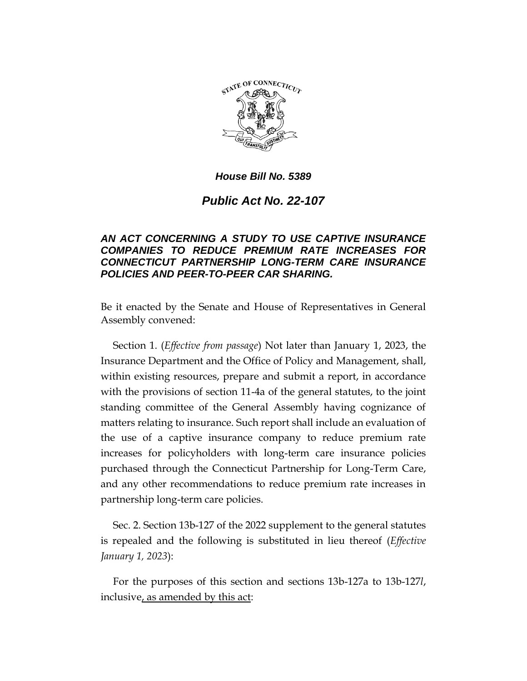

# *Public Act No. 22-107*

# *AN ACT CONCERNING A STUDY TO USE CAPTIVE INSURANCE COMPANIES TO REDUCE PREMIUM RATE INCREASES FOR CONNECTICUT PARTNERSHIP LONG-TERM CARE INSURANCE POLICIES AND PEER-TO-PEER CAR SHARING.*

Be it enacted by the Senate and House of Representatives in General Assembly convened:

Section 1. (*Effective from passage*) Not later than January 1, 2023, the Insurance Department and the Office of Policy and Management, shall, within existing resources, prepare and submit a report, in accordance with the provisions of section 11-4a of the general statutes, to the joint standing committee of the General Assembly having cognizance of matters relating to insurance. Such report shall include an evaluation of the use of a captive insurance company to reduce premium rate increases for policyholders with long-term care insurance policies purchased through the Connecticut Partnership for Long-Term Care, and any other recommendations to reduce premium rate increases in partnership long-term care policies.

Sec. 2. Section 13b-127 of the 2022 supplement to the general statutes is repealed and the following is substituted in lieu thereof (*Effective January 1, 2023*):

For the purposes of this section and sections 13b-127a to 13b-127*l*, inclusive, as amended by this act: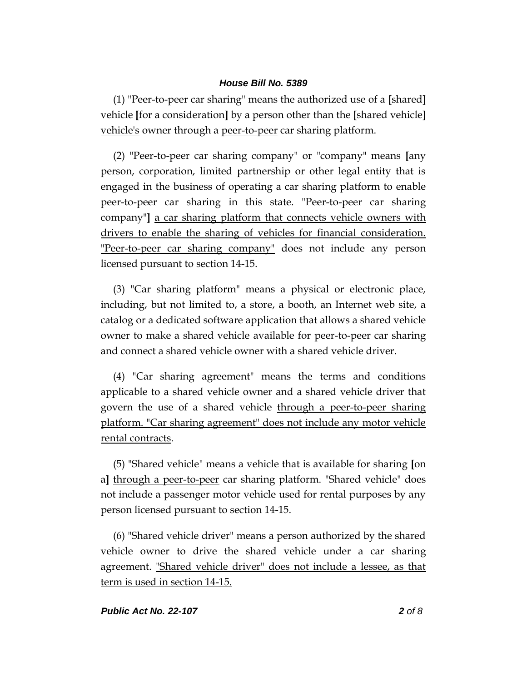(1) "Peer-to-peer car sharing" means the authorized use of a **[**shared**]** vehicle **[**for a consideration**]** by a person other than the **[**shared vehicle**]** vehicle's owner through a peer-to-peer car sharing platform.

(2) "Peer-to-peer car sharing company" or "company" means **[**any person, corporation, limited partnership or other legal entity that is engaged in the business of operating a car sharing platform to enable peer-to-peer car sharing in this state. "Peer-to-peer car sharing company"**]** a car sharing platform that connects vehicle owners with drivers to enable the sharing of vehicles for financial consideration. "Peer-to-peer car sharing company" does not include any person licensed pursuant to section 14-15.

(3) "Car sharing platform" means a physical or electronic place, including, but not limited to, a store, a booth, an Internet web site, a catalog or a dedicated software application that allows a shared vehicle owner to make a shared vehicle available for peer-to-peer car sharing and connect a shared vehicle owner with a shared vehicle driver.

(4) "Car sharing agreement" means the terms and conditions applicable to a shared vehicle owner and a shared vehicle driver that govern the use of a shared vehicle through a peer-to-peer sharing platform. "Car sharing agreement" does not include any motor vehicle rental contracts.

(5) "Shared vehicle" means a vehicle that is available for sharing **[**on a**]** through a peer-to-peer car sharing platform. "Shared vehicle" does not include a passenger motor vehicle used for rental purposes by any person licensed pursuant to section 14-15.

(6) "Shared vehicle driver" means a person authorized by the shared vehicle owner to drive the shared vehicle under a car sharing agreement. "Shared vehicle driver" does not include a lessee, as that term is used in section 14-15.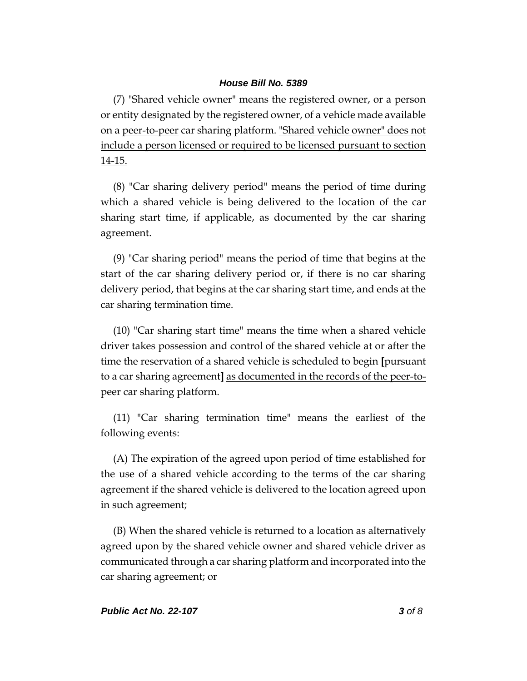(7) "Shared vehicle owner" means the registered owner, or a person or entity designated by the registered owner, of a vehicle made available on a peer-to-peer car sharing platform. "Shared vehicle owner" does not include a person licensed or required to be licensed pursuant to section 14-15.

(8) "Car sharing delivery period" means the period of time during which a shared vehicle is being delivered to the location of the car sharing start time, if applicable, as documented by the car sharing agreement.

(9) "Car sharing period" means the period of time that begins at the start of the car sharing delivery period or, if there is no car sharing delivery period, that begins at the car sharing start time, and ends at the car sharing termination time.

(10) "Car sharing start time" means the time when a shared vehicle driver takes possession and control of the shared vehicle at or after the time the reservation of a shared vehicle is scheduled to begin **[**pursuant to a car sharing agreement**]** as documented in the records of the peer-topeer car sharing platform.

(11) "Car sharing termination time" means the earliest of the following events:

(A) The expiration of the agreed upon period of time established for the use of a shared vehicle according to the terms of the car sharing agreement if the shared vehicle is delivered to the location agreed upon in such agreement;

(B) When the shared vehicle is returned to a location as alternatively agreed upon by the shared vehicle owner and shared vehicle driver as communicated through a car sharing platform and incorporated into the car sharing agreement; or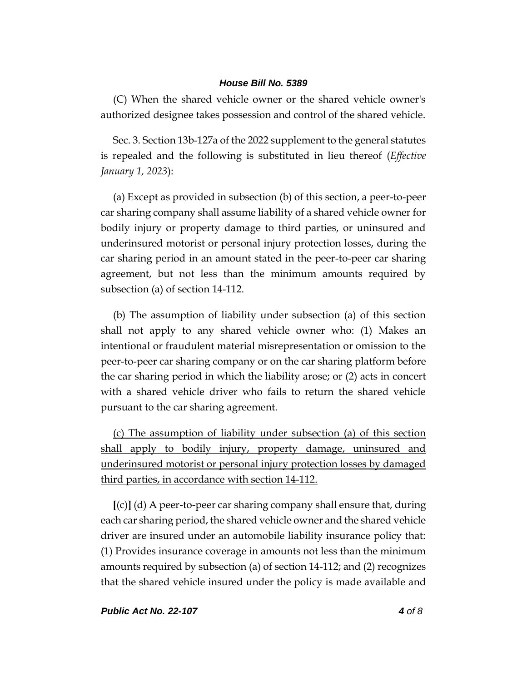(C) When the shared vehicle owner or the shared vehicle owner's authorized designee takes possession and control of the shared vehicle.

Sec. 3. Section 13b-127a of the 2022 supplement to the general statutes is repealed and the following is substituted in lieu thereof (*Effective January 1, 2023*):

(a) Except as provided in subsection (b) of this section, a peer-to-peer car sharing company shall assume liability of a shared vehicle owner for bodily injury or property damage to third parties, or uninsured and underinsured motorist or personal injury protection losses, during the car sharing period in an amount stated in the peer-to-peer car sharing agreement, but not less than the minimum amounts required by subsection (a) of section 14-112.

(b) The assumption of liability under subsection (a) of this section shall not apply to any shared vehicle owner who: (1) Makes an intentional or fraudulent material misrepresentation or omission to the peer-to-peer car sharing company or on the car sharing platform before the car sharing period in which the liability arose; or (2) acts in concert with a shared vehicle driver who fails to return the shared vehicle pursuant to the car sharing agreement.

(c) The assumption of liability under subsection (a) of this section shall apply to bodily injury, property damage, uninsured and underinsured motorist or personal injury protection losses by damaged third parties, in accordance with section 14-112.

**[**(c)**]** (d) A peer-to-peer car sharing company shall ensure that, during each car sharing period, the shared vehicle owner and the shared vehicle driver are insured under an automobile liability insurance policy that: (1) Provides insurance coverage in amounts not less than the minimum amounts required by subsection (a) of section 14-112; and (2) recognizes that the shared vehicle insured under the policy is made available and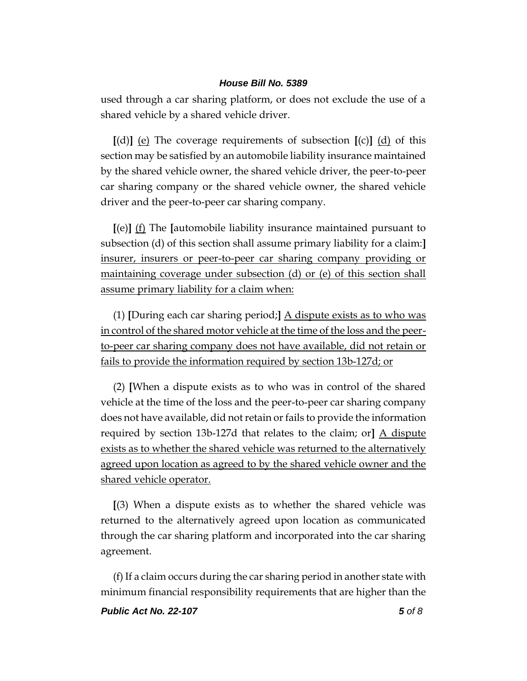used through a car sharing platform, or does not exclude the use of a shared vehicle by a shared vehicle driver.

**[**(d)**]** (e) The coverage requirements of subsection **[**(c)**]** (d) of this section may be satisfied by an automobile liability insurance maintained by the shared vehicle owner, the shared vehicle driver, the peer-to-peer car sharing company or the shared vehicle owner, the shared vehicle driver and the peer-to-peer car sharing company.

**[**(e)**]** (f) The **[**automobile liability insurance maintained pursuant to subsection (d) of this section shall assume primary liability for a claim:**]** insurer, insurers or peer-to-peer car sharing company providing or maintaining coverage under subsection (d) or (e) of this section shall assume primary liability for a claim when:

(1) **[**During each car sharing period;**]** A dispute exists as to who was in control of the shared motor vehicle at the time of the loss and the peerto-peer car sharing company does not have available, did not retain or fails to provide the information required by section 13b-127d; or

(2) **[**When a dispute exists as to who was in control of the shared vehicle at the time of the loss and the peer-to-peer car sharing company does not have available, did not retain or fails to provide the information required by section 13b-127d that relates to the claim; or**]** A dispute exists as to whether the shared vehicle was returned to the alternatively agreed upon location as agreed to by the shared vehicle owner and the shared vehicle operator.

**[**(3) When a dispute exists as to whether the shared vehicle was returned to the alternatively agreed upon location as communicated through the car sharing platform and incorporated into the car sharing agreement.

(f) If a claim occurs during the car sharing period in another state with minimum financial responsibility requirements that are higher than the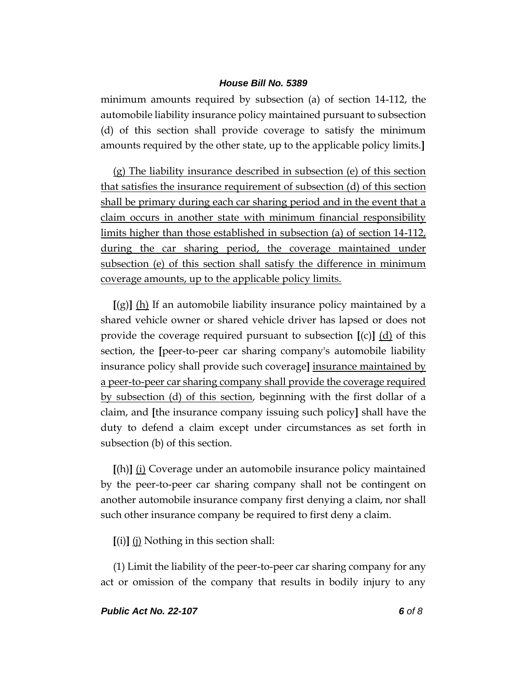minimum amounts required by subsection (a) of section 14-112, the automobile liability insurance policy maintained pursuant to subsection (d) of this section shall provide coverage to satisfy the minimum amounts required by the other state, up to the applicable policy limits.**]**

(g) The liability insurance described in subsection (e) of this section that satisfies the insurance requirement of subsection (d) of this section shall be primary during each car sharing period and in the event that a claim occurs in another state with minimum financial responsibility limits higher than those established in subsection (a) of section 14-112, during the car sharing period, the coverage maintained under subsection (e) of this section shall satisfy the difference in minimum coverage amounts, up to the applicable policy limits.

**[**(g)**]** (h) If an automobile liability insurance policy maintained by a shared vehicle owner or shared vehicle driver has lapsed or does not provide the coverage required pursuant to subsection  $[(c)]$   $(d)$  of this section, the **[**peer-to-peer car sharing company's automobile liability insurance policy shall provide such coverage**]** insurance maintained by a peer-to-peer car sharing company shall provide the coverage required by subsection (d) of this section, beginning with the first dollar of a claim, and **[**the insurance company issuing such policy**]** shall have the duty to defend a claim except under circumstances as set forth in subsection (b) of this section.

**[**(h)**]** (i) Coverage under an automobile insurance policy maintained by the peer-to-peer car sharing company shall not be contingent on another automobile insurance company first denying a claim, nor shall such other insurance company be required to first deny a claim.

**[**(i)**]** (j) Nothing in this section shall:

(1) Limit the liability of the peer-to-peer car sharing company for any act or omission of the company that results in bodily injury to any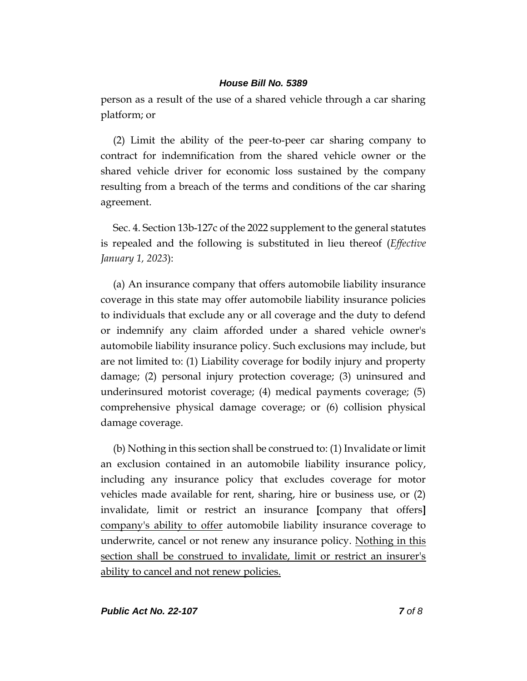person as a result of the use of a shared vehicle through a car sharing platform; or

(2) Limit the ability of the peer-to-peer car sharing company to contract for indemnification from the shared vehicle owner or the shared vehicle driver for economic loss sustained by the company resulting from a breach of the terms and conditions of the car sharing agreement.

Sec. 4. Section 13b-127c of the 2022 supplement to the general statutes is repealed and the following is substituted in lieu thereof (*Effective January 1, 2023*):

(a) An insurance company that offers automobile liability insurance coverage in this state may offer automobile liability insurance policies to individuals that exclude any or all coverage and the duty to defend or indemnify any claim afforded under a shared vehicle owner's automobile liability insurance policy. Such exclusions may include, but are not limited to: (1) Liability coverage for bodily injury and property damage; (2) personal injury protection coverage; (3) uninsured and underinsured motorist coverage; (4) medical payments coverage; (5) comprehensive physical damage coverage; or (6) collision physical damage coverage.

(b) Nothing in this section shall be construed to: (1) Invalidate or limit an exclusion contained in an automobile liability insurance policy, including any insurance policy that excludes coverage for motor vehicles made available for rent, sharing, hire or business use, or (2) invalidate, limit or restrict an insurance **[**company that offers**]** company's ability to offer automobile liability insurance coverage to underwrite, cancel or not renew any insurance policy. Nothing in this section shall be construed to invalidate, limit or restrict an insurer's ability to cancel and not renew policies.